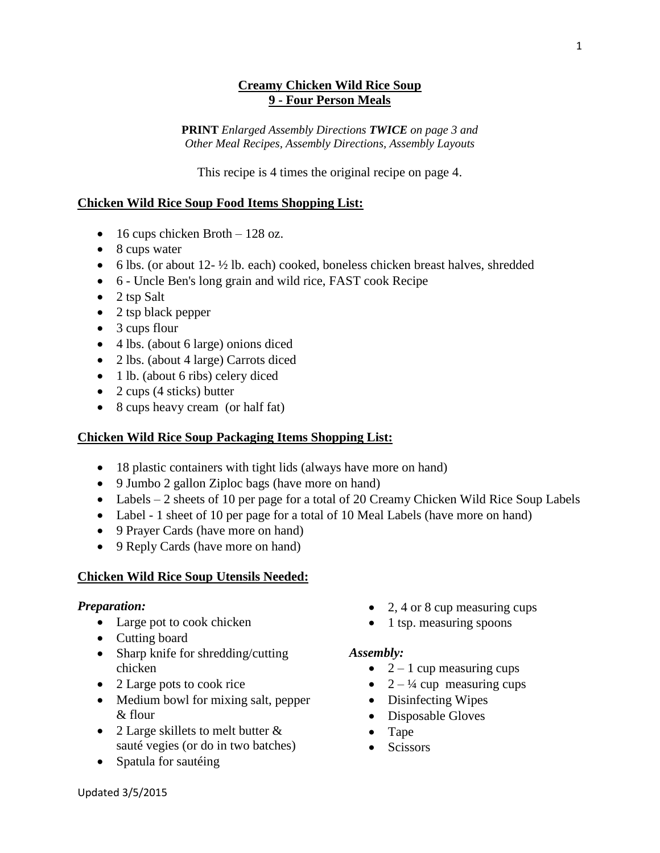## **Creamy Chicken Wild Rice Soup 9 - Four Person Meals**

**PRINT** *Enlarged Assembly Directions TWICE on page 3 and Other Meal Recipes, Assembly Directions, Assembly Layouts*

This recipe is 4 times the original recipe on page 4.

# **Chicken Wild Rice Soup Food Items Shopping List:**

- $\bullet$  16 cups chicken Broth 128 oz.
- 8 cups water
- $\bullet$  6 lbs. (or about 12- $\frac{1}{2}$  lb. each) cooked, boneless chicken breast halves, shredded
- 6 Uncle Ben's long grain and wild rice, FAST cook Recipe
- $\bullet$  2 tsp Salt
- 2 tsp black pepper
- 3 cups flour
- 4 lbs. (about 6 large) onions diced
- 2 lbs. (about 4 large) Carrots diced
- 1 lb. (about 6 ribs) celery diced
- 2 cups  $(4 \text{ sticks})$  butter
- 8 cups heavy cream (or half fat)

## **Chicken Wild Rice Soup Packaging Items Shopping List:**

- 18 plastic containers with tight lids (always have more on hand)
- 9 Jumbo 2 gallon Ziploc bags (have more on hand)
- Labels  $-2$  sheets of 10 per page for a total of 20 Creamy Chicken Wild Rice Soup Labels
- Label 1 sheet of 10 per page for a total of 10 Meal Labels (have more on hand)
- 9 Prayer Cards (have more on hand)
- 9 Reply Cards (have more on hand)

## **Chicken Wild Rice Soup Utensils Needed:**

#### *Preparation:*

- Large pot to cook chicken
- Cutting board
- Sharp knife for shredding/cutting chicken
- 2 Large pots to cook rice
- Medium bowl for mixing salt, pepper & flour
- 2 Large skillets to melt butter & sauté vegies (or do in two batches)
- Spatula for sautéing
- 2, 4 or 8 cup measuring cups
- $\bullet$  1 tsp. measuring spoons

#### *Assembly:*

- $\bullet$  2 1 cup measuring cups
- $2 \frac{1}{4}$  cup measuring cups
- Disinfecting Wipes
- Disposable Gloves
- Tape
- Scissors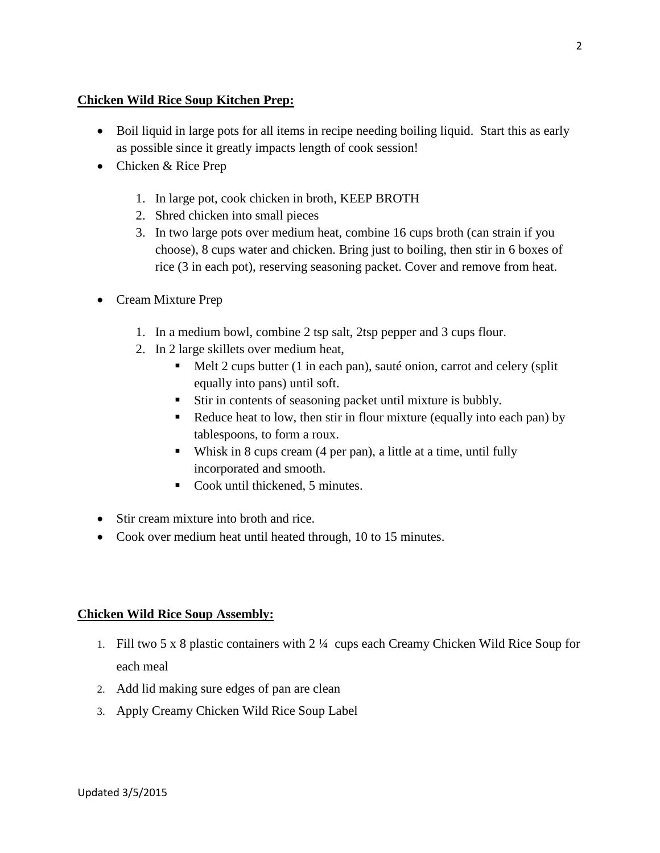# **Chicken Wild Rice Soup Kitchen Prep:**

- Boil liquid in large pots for all items in recipe needing boiling liquid. Start this as early as possible since it greatly impacts length of cook session!
- Chicken & Rice Prep
	- 1. In large pot, cook chicken in broth, KEEP BROTH
	- 2. Shred chicken into small pieces
	- 3. In two large pots over medium heat, combine 16 cups broth (can strain if you choose), 8 cups water and chicken. Bring just to boiling, then stir in 6 boxes of rice (3 in each pot), reserving seasoning packet. Cover and remove from heat.
- Cream Mixture Prep
	- 1. In a medium bowl, combine 2 tsp salt, 2tsp pepper and 3 cups flour.
	- 2. In 2 large skillets over medium heat,
		- Melt 2 cups butter (1 in each pan), sauté onion, carrot and celery (split equally into pans) until soft.
		- Stir in contents of seasoning packet until mixture is bubbly.
		- Reduce heat to low, then stir in flour mixture (equally into each pan) by tablespoons, to form a roux.
		- Whisk in 8 cups cream  $(4 \text{ per pan})$ , a little at a time, until fully incorporated and smooth.
		- Cook until thickened, 5 minutes.
- Stir cream mixture into broth and rice.
- Cook over medium heat until heated through, 10 to 15 minutes.

# **Chicken Wild Rice Soup Assembly:**

- 1. Fill two 5 x 8 plastic containers with 2 ¼ cups each Creamy Chicken Wild Rice Soup for each meal
- 2. Add lid making sure edges of pan are clean
- 3. Apply Creamy Chicken Wild Rice Soup Label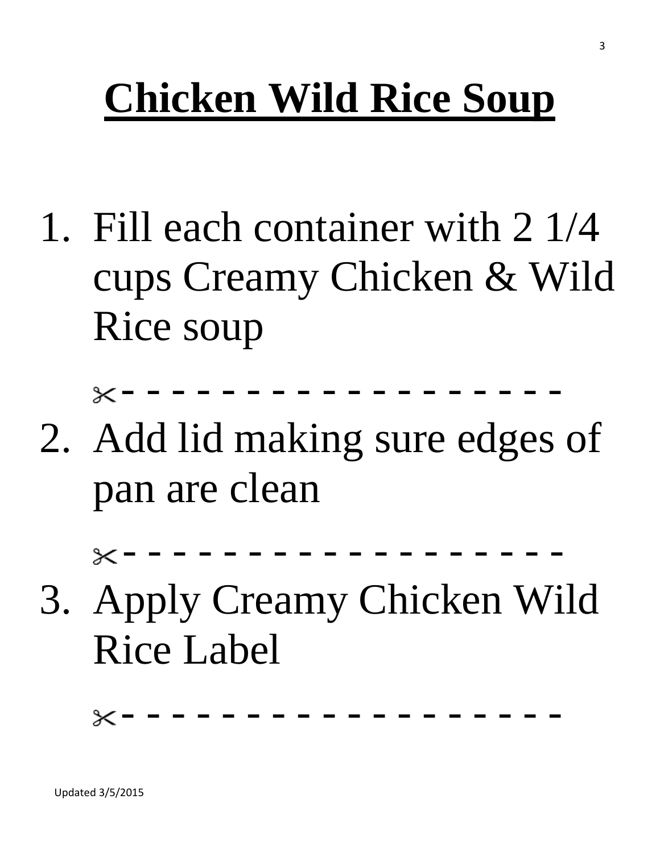# **Chicken Wild Rice Soup**

1. Fill each container with 2 1/4 cups Creamy Chicken & Wild Rice soup

- - - - - - - - - - - - - - - - - -

2. Add lid making sure edges of pan are clean

- - - - - - - - - - - - - - - - - -

3. Apply Creamy Chicken Wild Rice Label

- - - - - - - - - - - - - - - - - -